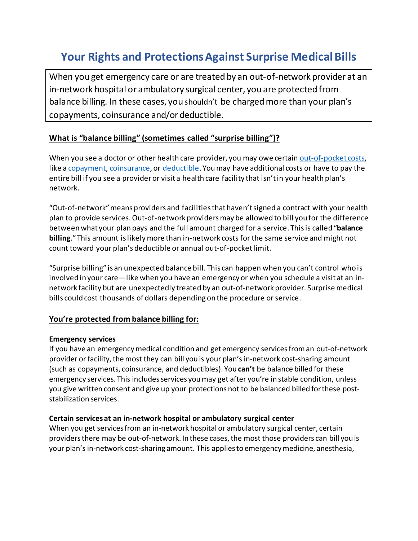# Your Rights and Protections Against Surprise Medical Bills

When you get emergency care or are treated by an out-of-network provider at an in-network hospital or ambulatory surgical center, you are protected from balance billing. In these cases, you shouldn't be charged more than your plan's copayments, coinsurance and/or deductible.

# What is "balance billing" (sometimes called "surprise billing")?

When you see a doctor or other health care provider, you may owe certain out-of-pocket costs, like a copayment, coinsurance, or deductible. You may have additional costs or have to pay the entire bill if you see a provider or visit a health care facility that isn't in your health plan's network.

"Out-of-network" means providers and facilities that haven't signed a contract with your health plan to provide services. Out-of-network providers may be allowed to bill you for the difference between what your plan pays and the full amount charged for a service. This is called "balance billing." This amount is likely more than in-network costs for the same service and might not count toward your plan's deductible or annual out-of-pocket limit.

"Surprise billing" is an unexpected balance bill. This can happen when you can't control who is involved in your care—like when you have an emergency or when you schedule a visit at an innetwork facility but are unexpectedly treated by an out-of-network provider. Surprise medical bills could cost thousands of dollars depending on the procedure or service.

### You're protected from balance billing for:

#### Emergency services

If you have an emergency medical condition and get emergency services from an out-of-network provider or facility, the most they can bill you is your plan's in-network cost-sharing amount (such as copayments, coinsurance, and deductibles). You can't be balance billed for these emergency services. This includes services you may get after you're in stable condition, unless you give written consent and give up your protections not to be balanced billed for these poststabilization services.

#### Certain services at an in-network hospital or ambulatory surgical center

When you get services from an in-network hospital or ambulatory surgical center, certain providers there may be out-of-network. In these cases, the most those providers can bill you is your plan's in-network cost-sharing amount. This applies to emergency medicine, anesthesia,